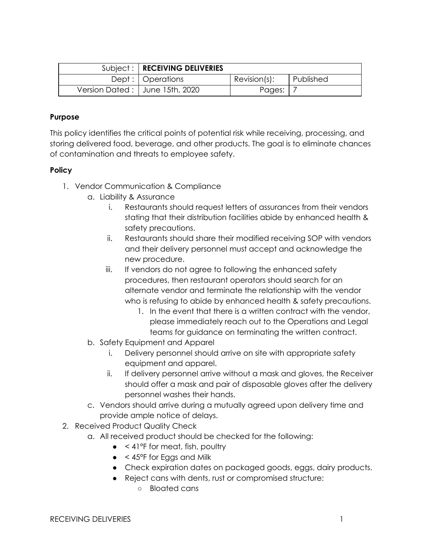| Subject:   RECEIVING DELIVERIES |                 |           |
|---------------------------------|-----------------|-----------|
| Dept :   Operations             | $Revision(s)$ : | Published |
| Version Dated: June 15th, 2020  | Pages:          |           |

### **Purpose**

This policy identifies the critical points of potential risk while receiving, processing, and storing delivered food, beverage, and other products. The goal is to eliminate chances of contamination and threats to employee safety.

## **Policy**

- 1. Vendor Communication & Compliance
	- a. Liability & Assurance
		- i. Restaurants should request letters of assurances from their vendors stating that their distribution facilities abide by enhanced health & safety precautions.
		- ii. Restaurants should share their modified receiving SOP with vendors and their delivery personnel must accept and acknowledge the new procedure.
		- iii. If vendors do not agree to following the enhanced safety procedures, then restaurant operators should search for an alternate vendor and terminate the relationship with the vendor who is refusing to abide by enhanced health & safety precautions.
			- 1. In the event that there is a written contract with the vendor, please immediately reach out to the Operations and Legal teams for guidance on terminating the written contract.
	- b. Safety Equipment and Apparel
		- i. Delivery personnel should arrive on site with appropriate safety equipment and apparel.
		- ii. If delivery personnel arrive without a mask and gloves, the Receiver should offer a mask and pair of disposable gloves after the delivery personnel washes their hands.
	- c. Vendors should arrive during a mutually agreed upon delivery time and provide ample notice of delays.
- 2. Received Product Quality Check
	- a. All received product should be checked for the following:
		- $\bullet$  < 41°F for meat, fish, poultry
		- $\bullet$  < 45°F for Eggs and Milk
		- Check expiration dates on packaged goods, eggs, dairy products.
		- Reject cans with dents, rust or compromised structure:
			- Bloated cans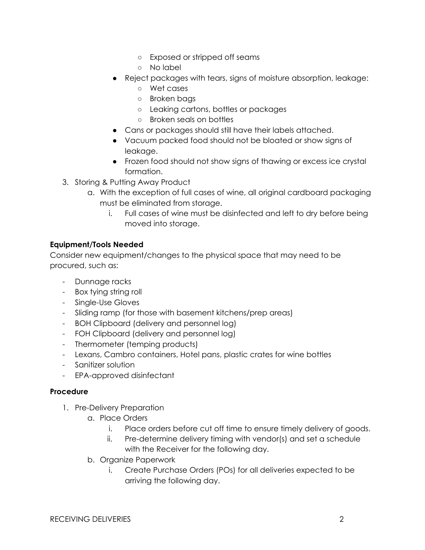- Exposed or stripped off seams
- No label
- Reject packages with tears, signs of moisture absorption, leakage:
	- Wet cases
	- Broken bags
	- Leaking cartons, bottles or packages
	- Broken seals on bottles
- Cans or packages should still have their labels attached.
- Vacuum packed food should not be bloated or show signs of leakage.
- Frozen food should not show signs of thawing or excess ice crystal formation.
- 3. Storing & Putting Away Product
	- a. With the exception of full cases of wine, all original cardboard packaging must be eliminated from storage.
		- i. Full cases of wine must be disinfected and left to dry before being moved into storage.

# **Equipment/Tools Needed**

Consider new equipment/changes to the physical space that may need to be procured, such as:

- Dunnage racks
- Box tying string roll
- Single-Use Gloves
- Sliding ramp (for those with basement kitchens/prep areas)
- BOH Clipboard (delivery and personnel log)
- FOH Clipboard (delivery and personnel log)
- Thermometer (temping products)
- Lexans, Cambro containers, Hotel pans, plastic crates for wine bottles
- Sanitizer solution
- EPA-approved disinfectant

## **Procedure**

- 1. Pre-Delivery Preparation
	- a. Place Orders
		- i. Place orders before cut off time to ensure timely delivery of goods.
		- ii. Pre-determine delivery timing with vendor(s) and set a schedule with the Receiver for the following day.
	- b. Organize Paperwork
		- i. Create Purchase Orders (POs) for all deliveries expected to be arriving the following day.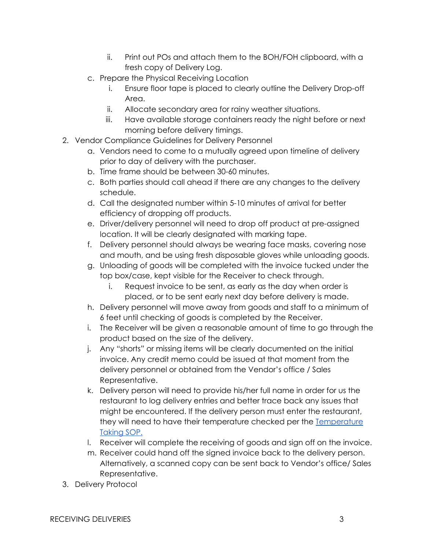- ii. Print out POs and attach them to the BOH/FOH clipboard, with a fresh copy of Delivery Log.
- c. Prepare the Physical Receiving Location
	- i. Ensure floor tape is placed to clearly outline the Delivery Drop-off Area.
	- ii. Allocate secondary area for rainy weather situations.
	- iii. Have available storage containers ready the night before or next morning before delivery timings.
- 2. Vendor Compliance Guidelines for Delivery Personnel
	- a. Vendors need to come to a mutually agreed upon timeline of delivery prior to day of delivery with the purchaser.
	- b. Time frame should be between 30-60 minutes.
	- c. Both parties should call ahead if there are any changes to the delivery schedule.
	- d. Call the designated number within 5-10 minutes of arrival for better efficiency of dropping off products.
	- e. Driver/delivery personnel will need to drop off product at pre-assigned location. It will be clearly designated with marking tape.
	- f. Delivery personnel should always be wearing face masks, covering nose and mouth, and be using fresh disposable gloves while unloading goods.
	- g. Unloading of goods will be completed with the invoice tucked under the top box/case, kept visible for the Receiver to check through.
		- i. Request invoice to be sent, as early as the day when order is placed, or to be sent early next day before delivery is made.
	- h. Delivery personnel will move away from goods and staff to a minimum of 6 feet until checking of goods is completed by the Receiver.
	- i. The Receiver will be given a reasonable amount of time to go through the product based on the size of the delivery.
	- j. Any "shorts" or missing items will be clearly documented on the initial invoice. Any credit memo could be issued at that moment from the delivery personnel or obtained from the Vendor's office / Sales Representative.
	- k. Delivery person will need to provide his/her full name in order for us the restaurant to log delivery entries and better trace back any issues that might be encountered. If the delivery person must enter the restaurant, they will need to have their temperature checked per the [Temperature](https://momofuku-assets.s3.amazonaws.com/uploads/2020/06/SOP_GENERAL_TAKING-TEMPERATURES.pdf) [Taking SOP.](https://momofuku-assets.s3.amazonaws.com/uploads/2020/06/SOP_GENERAL_TAKING-TEMPERATURES.pdf)
	- l. Receiver will complete the receiving of goods and sign off on the invoice.
	- m. Receiver could hand off the signed invoice back to the delivery person. Alternatively, a scanned copy can be sent back to Vendor's office/ Sales Representative.
- 3. Delivery Protocol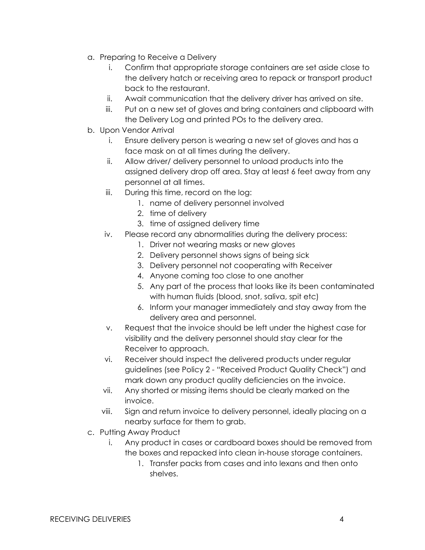- a. Preparing to Receive a Delivery
	- i. Confirm that appropriate storage containers are set aside close to the delivery hatch or receiving area to repack or transport product back to the restaurant.
	- ii. Await communication that the delivery driver has arrived on site.
	- iii. Put on a new set of gloves and bring containers and clipboard with the Delivery Log and printed POs to the delivery area.
- b. Upon Vendor Arrival
	- i. Ensure delivery person is wearing a new set of gloves and has a face mask on at all times during the delivery.
	- ii. Allow driver/ delivery personnel to unload products into the assigned delivery drop off area. Stay at least 6 feet away from any personnel at all times.
	- iii. During this time, record on the log:
		- 1. name of delivery personnel involved
		- 2. time of delivery
		- 3. time of assigned delivery time
	- iv. Please record any abnormalities during the delivery process:
		- 1. Driver not wearing masks or new gloves
		- 2. Delivery personnel shows signs of being sick
		- 3. Delivery personnel not cooperating with Receiver
		- 4. Anyone coming too close to one another
		- 5. Any part of the process that looks like its been contaminated with human fluids (blood, snot, saliva, spit etc)
		- 6. Inform your manager immediately and stay away from the delivery area and personnel.
	- v. Request that the invoice should be left under the highest case for visibility and the delivery personnel should stay clear for the Receiver to approach.
	- vi. Receiver should inspect the delivered products under regular guidelines (see Policy 2 - "Received Product Quality Check") and mark down any product quality deficiencies on the invoice.
	- vii. Any shorted or missing items should be clearly marked on the invoice.
	- viii. Sign and return invoice to delivery personnel, ideally placing on a nearby surface for them to grab.
- c. Putting Away Product
	- i. Any product in cases or cardboard boxes should be removed from the boxes and repacked into clean in-house storage containers.
		- 1. Transfer packs from cases and into lexans and then onto shelves.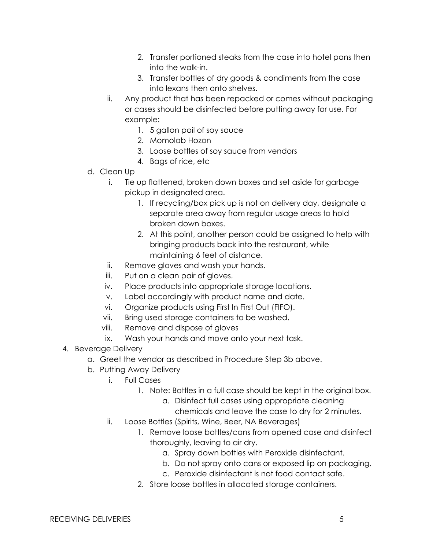- 2. Transfer portioned steaks from the case into hotel pans then into the walk-in.
- 3. Transfer bottles of dry goods & condiments from the case into lexans then onto shelves.
- ii. Any product that has been repacked or comes without packaging or cases should be disinfected before putting away for use. For example:
	- 1. 5 gallon pail of soy sauce
	- 2. Momolab Hozon
	- 3. Loose bottles of soy sauce from vendors
	- 4. Bags of rice, etc
- d. Clean Up
	- i. Tie up flattened, broken down boxes and set aside for garbage pickup in designated area.
		- 1. If recycling/box pick up is not on delivery day, designate a separate area away from regular usage areas to hold broken down boxes.
		- 2. At this point, another person could be assigned to help with bringing products back into the restaurant, while maintaining 6 feet of distance.
	- ii. Remove gloves and wash your hands.
	- iii. Put on a clean pair of gloves.
	- iv. Place products into appropriate storage locations.
	- v. Label accordingly with product name and date.
	- vi. Organize products using First In First Out (FIFO).
	- vii. Bring used storage containers to be washed.
	- viii. Remove and dispose of gloves
	- ix. Wash your hands and move onto your next task.
- 4. Beverage Delivery
	- a. Greet the vendor as described in Procedure Step 3b above.
	- b. Putting Away Delivery
		- i. Full Cases
			- 1. Note: Bottles in a full case should be kept in the original box.
				- a. Disinfect full cases using appropriate cleaning
					- chemicals and leave the case to dry for 2 minutes.
		- ii. Loose Bottles (Spirits, Wine, Beer, NA Beverages)
			- 1. Remove loose bottles/cans from opened case and disinfect thoroughly, leaving to air dry.
				- a. Spray down bottles with Peroxide disinfectant.
				- b. Do not spray onto cans or exposed lip on packaging.
				- c. Peroxide disinfectant is not food contact safe.
			- 2. Store loose bottles in allocated storage containers.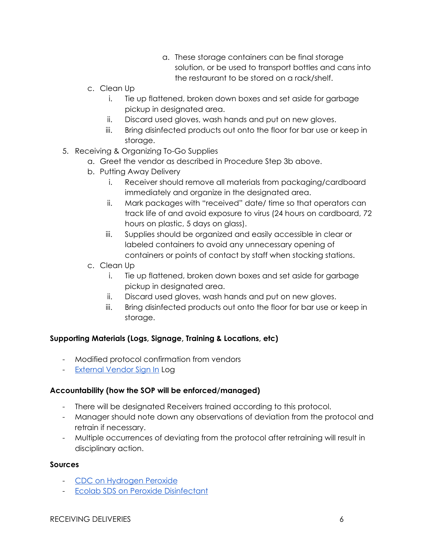- a. These storage containers can be final storage solution, or be used to transport bottles and cans into the restaurant to be stored on a rack/shelf.
- c. Clean Up
	- i. Tie up flattened, broken down boxes and set aside for garbage pickup in designated area.
	- ii. Discard used gloves, wash hands and put on new gloves.
	- iii. Bring disinfected products out onto the floor for bar use or keep in storage.
- 5. Receiving & Organizing To-Go Supplies
	- a. Greet the vendor as described in Procedure Step 3b above.
	- b. Putting Away Delivery
		- i. Receiver should remove all materials from packaging/cardboard immediately and organize in the designated area.
		- ii. Mark packages with "received" date/ time so that operators can track life of and avoid exposure to virus (24 hours on cardboard, 72 hours on plastic, 5 days on glass).
		- iii. Supplies should be organized and easily accessible in clear or labeled containers to avoid any unnecessary opening of containers or points of contact by staff when stocking stations.
	- c. Clean Up
		- i. Tie up flattened, broken down boxes and set aside for garbage pickup in designated area.
		- ii. Discard used gloves, wash hands and put on new gloves.
		- iii. Bring disinfected products out onto the floor for bar use or keep in storage.

#### **Supporting Materials (Logs, Signage, Training & Locations, etc)**

- Modified protocol confirmation from vendors
- [External Vendor Sign In](https://momofuku-assets.s3.amazonaws.com/uploads/2020/06/LOG_BOH_EXTERNAL-DELIVERY-VENDORS-Sheet1.pdf) Log

#### **Accountability (how the SOP will be enforced/managed)**

- There will be designated Receivers trained according to this protocol.
- Manager should note down any observations of deviation from the protocol and retrain if necessary.
- Multiple occurrences of deviating from the protocol after retraining will result in disciplinary action.

#### **Sources**

- [CDC on Hydrogen Peroxide](https://www.cdc.gov/infectioncontrol/guidelines/disinfection/disinfection-methods/chemical.html)
- [Ecolab SDS on Peroxide Disinfectant](https://www.ecolab.com/offerings/all-purpose-cleaning/peroxide-multi-surface-cleaner-and-disinfectant)